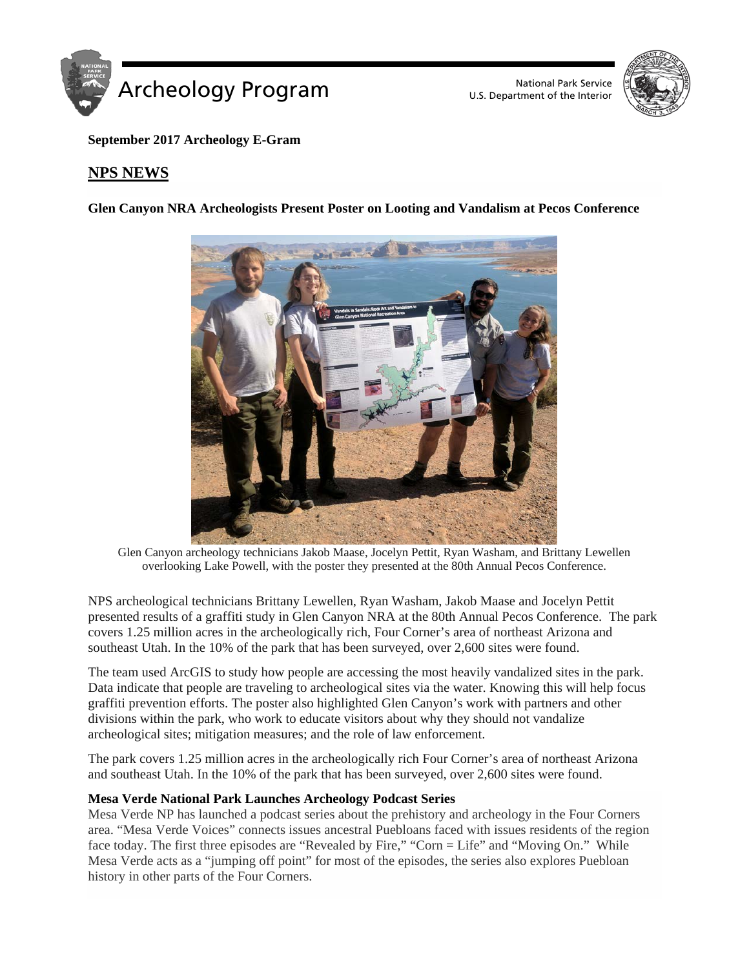

U.S. Department of the Interior



**September 2017 Archeology E-Gram**

# **NPS NEWS**

**Glen Canyon NRA Archeologists Present Poster on Looting and Vandalism at Pecos Conference** 



Glen Canyon archeology technicians Jakob Maase, Jocelyn Pettit, Ryan Washam, and Brittany Lewellen overlooking Lake Powell, with the poster they presented at the 80th Annual Pecos Conference.

NPS archeological technicians Brittany Lewellen, Ryan Washam, Jakob Maase and Jocelyn Pettit presented results of a graffiti study in Glen Canyon NRA at the 80th Annual Pecos Conference. The park covers 1.25 million acres in the archeologically rich, Four Corner's area of northeast Arizona and southeast Utah. In the 10% of the park that has been surveyed, over 2,600 sites were found.

The team used ArcGIS to study how people are accessing the most heavily vandalized sites in the park. Data indicate that people are traveling to archeological sites via the water. Knowing this will help focus graffiti prevention efforts. The poster also highlighted Glen Canyon's work with partners and other divisions within the park, who work to educate visitors about why they should not vandalize archeological sites; mitigation measures; and the role of law enforcement.

The park covers 1.25 million acres in the archeologically rich Four Corner's area of northeast Arizona and southeast Utah. In the 10% of the park that has been surveyed, over 2,600 sites were found.

# **Mesa Verde National Park Launches Archeology Podcast Series**

Mesa Verde NP has launched a podcast series about the prehistory and archeology in the Four Corners area. "Mesa Verde Voices" connects issues ancestral Puebloans faced with issues residents of the region face today. The first three episodes are "Revealed by Fire," "Corn = Life" and "Moving On." While Mesa Verde acts as a "jumping off point" for most of the episodes, the series also explores Puebloan history in other parts of the Four Corners.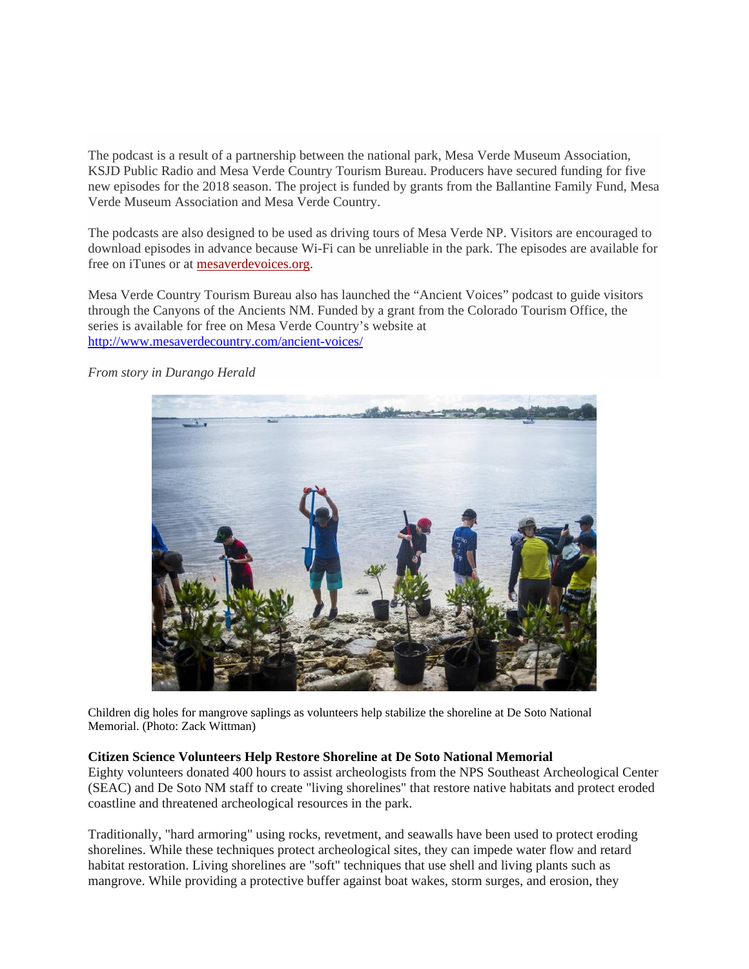The podcast is a result of a partnership between the national park, Mesa Verde Museum Association, KSJD Public Radio and Mesa Verde Country Tourism Bureau. Producers have secured funding for five new episodes for the 2018 season. The project is funded by grants from the Ballantine Family Fund, Mesa Verde Museum Association and Mesa Verde Country.

The podcasts are also designed to be used as driving tours of Mesa Verde NP. Visitors are encouraged to download episodes in advance because Wi-Fi can be unreliable in the park. The episodes are available for free on iTunes or at [mesaverdevoices.org.](https://www.mesaverdevoices.org/)

Mesa Verde Country Tourism Bureau also has launched the "Ancient Voices" podcast to guide visitors through the Canyons of the Ancients NM. Funded by a grant from the Colorado Tourism Office, the series is available for free on Mesa Verde Country's website at <http://www.mesaverdecountry.com/ancient-voices/>



*From story in Durango Herald*

Children dig holes for mangrove saplings as volunteers help stabilize the shoreline at De Soto National Memorial. (Photo: Zack Wittman)

# **Citizen Science Volunteers Help Restore Shoreline at De Soto National Memorial**

Eighty volunteers donated 400 hours to assist archeologists from the NPS Southeast Archeological Center (SEAC) and De Soto NM staff to create "living shorelines" that restore native habitats and protect eroded coastline and threatened archeological resources in the park.

Traditionally, "hard armoring" using rocks, revetment, and seawalls have been used to protect eroding shorelines. While these techniques protect archeological sites, they can impede water flow and retard habitat restoration. Living shorelines are "soft" techniques that use shell and living plants such as mangrove. While providing a protective buffer against boat wakes, storm surges, and erosion, they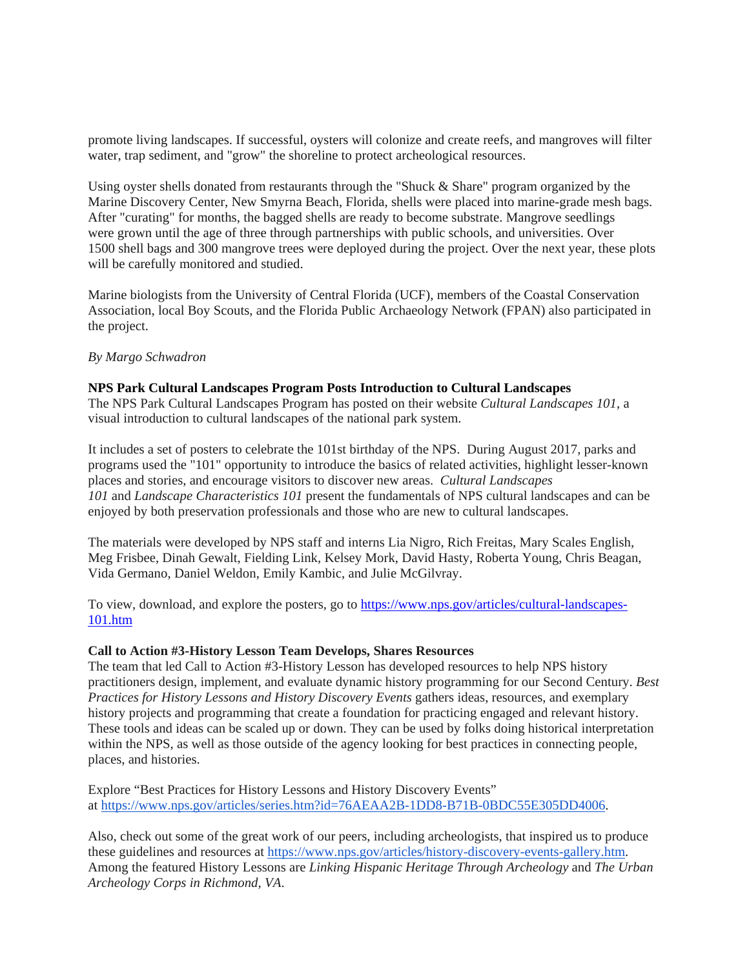promote living landscapes. If successful, oysters will colonize and create reefs, and mangroves will filter water, trap sediment, and "grow" the shoreline to protect archeological resources.

Using oyster shells donated from restaurants through the "Shuck & Share" program organized by the Marine Discovery Center, New Smyrna Beach, Florida, shells were placed into marine-grade mesh bags. After "curating" for months, the bagged shells are ready to become substrate. Mangrove seedlings were grown until the age of three through partnerships with public schools, and universities. Over 1500 shell bags and 300 mangrove trees were deployed during the project. Over the next year, these plots will be carefully monitored and studied.

Marine biologists from the University of Central Florida (UCF), members of the Coastal Conservation Association, local Boy Scouts, and the Florida Public Archaeology Network (FPAN) also participated in the project.

### *By Margo Schwadron*

#### **NPS Park Cultural Landscapes Program Posts Introduction to Cultural Landscapes** The NPS Park Cultural Landscapes Program has posted on their website *Cultural Landscapes 101*, a visual introduction to cultural landscapes of the national park system.

It includes a set of posters to celebrate the 101st birthday of the NPS. During August 2017, parks and programs used the "101" opportunity to introduce the basics of related activities, highlight lesser-known places and stories, and encourage visitors to discover new areas. *Cultural Landscapes 101* and *Landscape Characteristics 101* present the fundamentals of NPS cultural landscapes and can be enjoyed by both preservation professionals and those who are new to cultural landscapes.

The materials were developed by NPS staff and interns Lia Nigro, Rich Freitas, Mary Scales English, Meg Frisbee, Dinah Gewalt, Fielding Link, Kelsey Mork, David Hasty, Roberta Young, Chris Beagan, Vida Germano, Daniel Weldon, Emily Kambic, and Julie McGilvray.

To view, download, and explore the posters, go to [https://www.nps.gov/articles/cultural-landscapes-](https://www.nps.gov/articles/cultural-landscapes-101.htm)[101.htm](https://www.nps.gov/articles/cultural-landscapes-101.htm)

#### **Call to Action #3-History Lesson Team Develops, Shares Resources**

The team that led Call to Action #3-History Lesson has developed resources to help NPS history practitioners design, implement, and evaluate dynamic history programming for our Second Century. *Best Practices for History Lessons and History Discovery Events* gathers ideas, resources, and exemplary history projects and programming that create a foundation for practicing engaged and relevant history. These tools and ideas can be scaled up or down. They can be used by folks doing historical interpretation within the NPS, as well as those outside of the agency looking for best practices in connecting people, places, and histories.

Explore "Best Practices for History Lessons and History Discovery Events" at [https://www.nps.gov/articles/series.htm?id=76AEAA2B-1DD8-B71B-0BDC55E305DD4006.](https://www.nps.gov/articles/series.htm?id=76AEAA2B-1DD8-B71B-0BDC55E305DD4006)

Also, check out some of the great work of our peers, including archeologists, that inspired us to produce these guidelines and resources at [https://www.nps.gov/articles/history-discovery-events-gallery.htm.](https://www.nps.gov/articles/history-discovery-events-gallery.htm)  Among the featured History Lessons are *Linking Hispanic Heritage Through Archeology* and *The Urban Archeology Corps in Richmond, VA*.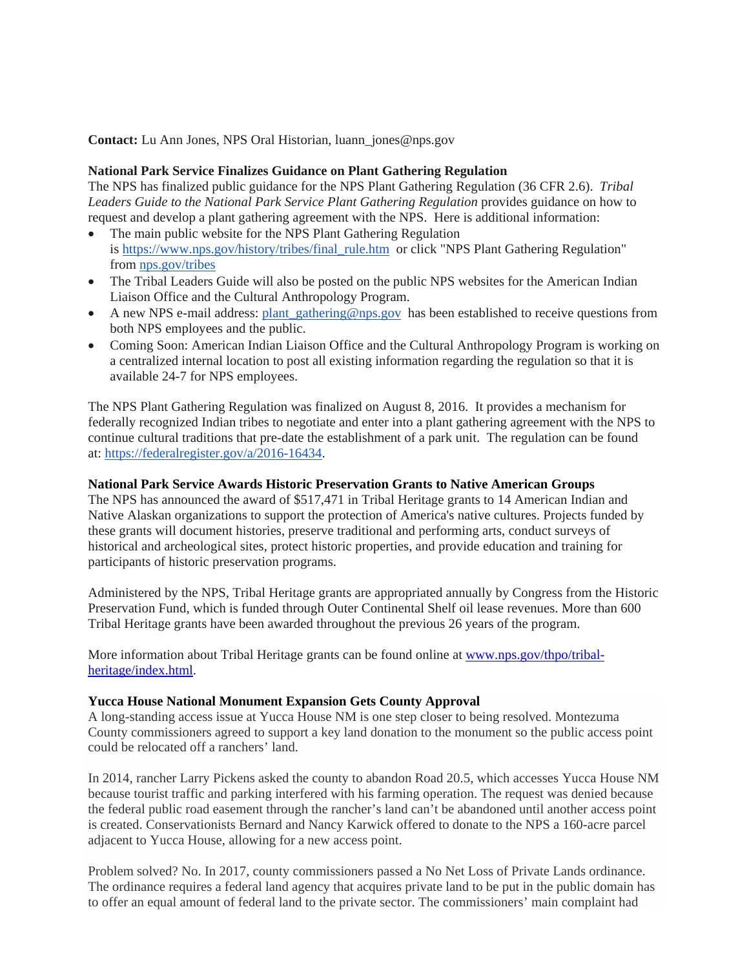**Contact:** Lu Ann Jones, NPS Oral Historian, luann\_jones@nps.gov

## **National Park Service Finalizes Guidance on Plant Gathering Regulation**

The NPS has finalized public guidance for the NPS Plant Gathering Regulation (36 CFR 2.6). *Tribal Leaders Guide to the National Park Service Plant Gathering Regulation* provides guidance on how to request and develop a plant gathering agreement with the NPS. Here is additional information:

- The main public website for the NPS Plant Gathering Regulation is [https://www.nps.gov/history/tribes/final\\_rule.htm](https://www.nps.gov/history/tribes/final_rule.htm) or click "NPS Plant Gathering Regulation" from [nps.gov/tribes](http://nps.gov/tribes)
- The Tribal Leaders Guide will also be posted on the public NPS websites for the American Indian Liaison Office and the Cultural Anthropology Program.
- A new NPS e-mail address: [plant\\_gathering@nps.gov](mailto:plant_gathering@nps.gov) has been established to receive questions from both NPS employees and the public.
- Coming Soon: American Indian Liaison Office and the Cultural Anthropology Program is working on a centralized internal location to post all existing information regarding the regulation so that it is available 24-7 for NPS employees.

The NPS Plant Gathering Regulation was finalized on August 8, 2016. It provides a mechanism for federally recognized Indian tribes to negotiate and enter into a plant gathering agreement with the NPS to continue cultural traditions that pre-date the establishment of a park unit. The regulation can be found at: [https://federalregister.gov/a/2016-16434.](https://federalregister.gov/a/2016-16434)

# **National Park Service Awards Historic Preservation Grants to Native American Groups**

The NPS has announced the award of \$517,471 in Tribal Heritage grants to 14 American Indian and Native Alaskan organizations to support the protection of America's native cultures. Projects funded by these grants will document histories, preserve traditional and performing arts, conduct surveys of historical and archeological sites, protect historic properties, and provide education and training for participants of historic preservation programs.

Administered by the NPS, Tribal Heritage grants are appropriated annually by Congress from the Historic Preservation Fund, which is funded through Outer Continental Shelf oil lease revenues. More than 600 Tribal Heritage grants have been awarded throughout the previous 26 years of the program.

More information about Tribal Heritage grants can be found online at [www.nps.gov/thpo/tribal](http://link.email.dynect.net/link.php?DynEngagement=true&H=WAA0HYy4enWklLGLVOCoftvRiKxkwcx7028A%2BNZlWSzSEaUD3cyAX7GV5vfHsxB7vE7yGO77gvAeJ%2FmSQ2UsXe85hE7zwtbAKN4o4NnHuH4CEU2iWemMAHfXuwjjCzwv&G=0&R=http%3A%2F%2Fwww.nps.gov%2Fthpo%2Ftribal-heritage%2Findex.html&I=20170816184754.0000002154bd%40mail6-33-usnbn1&X=MHwxMDQ2NzU4OjU5OTQ5MzU4MzQ2NDAwMDk2MjhhMTBiZjs%3D&S=f02-RQdh0W8R706tlaD_H4oMayxJRkjzSM7A2-gsFqw)[heritage/index.html.](http://link.email.dynect.net/link.php?DynEngagement=true&H=WAA0HYy4enWklLGLVOCoftvRiKxkwcx7028A%2BNZlWSzSEaUD3cyAX7GV5vfHsxB7vE7yGO77gvAeJ%2FmSQ2UsXe85hE7zwtbAKN4o4NnHuH4CEU2iWemMAHfXuwjjCzwv&G=0&R=http%3A%2F%2Fwww.nps.gov%2Fthpo%2Ftribal-heritage%2Findex.html&I=20170816184754.0000002154bd%40mail6-33-usnbn1&X=MHwxMDQ2NzU4OjU5OTQ5MzU4MzQ2NDAwMDk2MjhhMTBiZjs%3D&S=f02-RQdh0W8R706tlaD_H4oMayxJRkjzSM7A2-gsFqw)

#### **Yucca House National Monument Expansion Gets County Approval**

A long-standing access issue at Yucca House NM is one step closer to being resolved. Montezuma County commissioners agreed to support a key land donation to the monument so the public access point could be relocated off a ranchers' land.

In 2014, rancher Larry Pickens asked the county to abandon Road 20.5, which accesses Yucca House NM because tourist traffic and parking interfered with his farming operation. The request was denied because the federal public road easement through the rancher's land can't be abandoned until another access point is created. Conservationists Bernard and Nancy Karwick offered to donate to the NPS a 160-acre parcel adjacent to Yucca House, allowing for a new access point.

Problem solved? No. In 2017, county commissioners passed a No Net Loss of Private Lands ordinance. The ordinance requires a federal land agency that acquires private land to be put in the public domain has to offer an equal amount of federal land to the private sector. The commissioners' main complaint had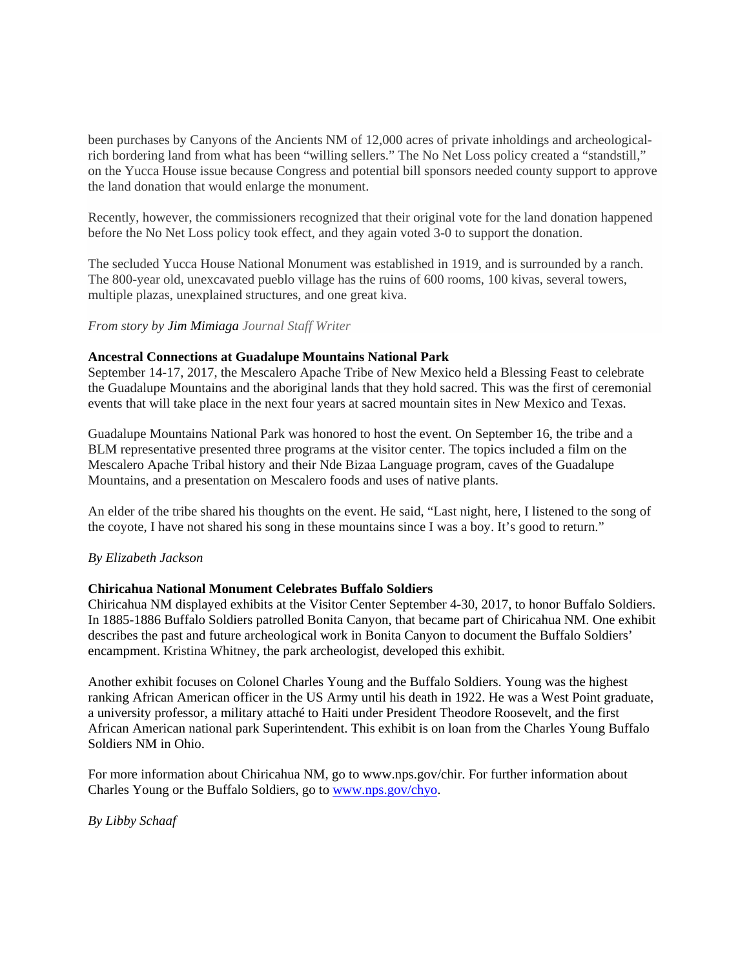been purchases by Canyons of the Ancients NM of 12,000 acres of private inholdings and archeologicalrich bordering land from what has been "willing sellers." The No Net Loss policy created a "standstill," on the Yucca House issue because Congress and potential bill sponsors needed county support to approve the land donation that would enlarge the monument.

Recently, however, the commissioners recognized that their original vote for the land donation happened before the No Net Loss policy took effect, and they again voted 3-0 to support the donation.

The secluded Yucca House National Monument was established in 1919, and is surrounded by a ranch. The 800-year old, unexcavated pueblo village has the ruins of 600 rooms, 100 kivas, several towers, multiple plazas, unexplained structures, and one great kiva.

#### *From story by Jim Mimiaga Journal Staff Writer*

### **Ancestral Connections at Guadalupe Mountains National Park**

September 14-17, 2017, the Mescalero Apache Tribe of New Mexico held a Blessing Feast to celebrate the Guadalupe Mountains and the aboriginal lands that they hold sacred. This was the first of ceremonial events that will take place in the next four years at sacred mountain sites in New Mexico and Texas.

Guadalupe Mountains National Park was honored to host the event. On September 16, the tribe and a BLM representative presented three programs at the visitor center. The topics included a film on the Mescalero Apache Tribal history and their Nde Bizaa Language program, caves of the Guadalupe Mountains, and a presentation on Mescalero foods and uses of native plants.

An elder of the tribe shared his thoughts on the event. He said, "Last night, here, I listened to the song of the coyote, I have not shared his song in these mountains since I was a boy. It's good to return."

#### *By Elizabeth Jackson*

#### **Chiricahua National Monument Celebrates Buffalo Soldiers**

Chiricahua NM displayed exhibits at the Visitor Center September 4-30, 2017, to honor Buffalo Soldiers. In 1885-1886 Buffalo Soldiers patrolled Bonita Canyon, that became part of Chiricahua NM. One exhibit describes the past and future archeological work in Bonita Canyon to document the Buffalo Soldiers' encampment. Kristina Whitney, the park archeologist, developed this exhibit.

Another exhibit focuses on Colonel Charles Young and the Buffalo Soldiers. Young was the highest ranking African American officer in the US Army until his death in 1922. He was a West Point graduate, a university professor, a military attaché to Haiti under President Theodore Roosevelt, and the first African American national park Superintendent. This exhibit is on loan from the Charles Young Buffalo Soldiers NM in Ohio.

For more information about Chiricahua NM, go to www.nps.gov/chir. For further information about Charles Young or the Buffalo Soldiers, go to [www.nps.gov/chyo.](http://www.nps.gov/chyo)

*By Libby Schaaf*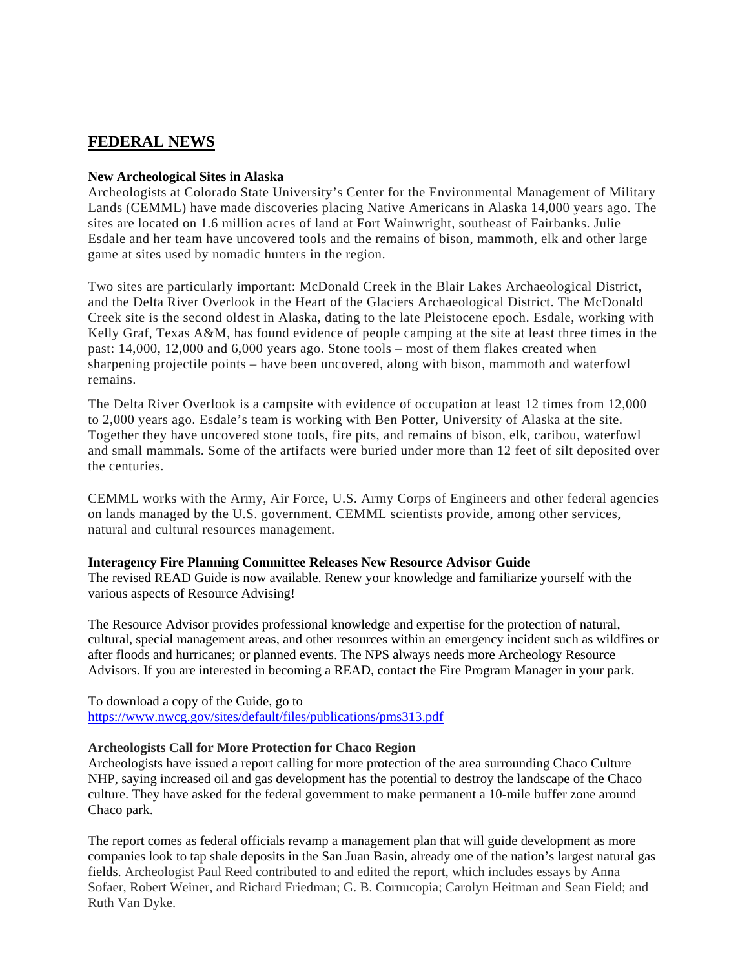# **FEDERAL NEWS**

## **New Archeological Sites in Alaska**

Archeologists at Colorado State University's Center for the Environmental Management of Military Lands (CEMML) have made discoveries placing Native Americans in Alaska 14,000 years ago. The sites are located on 1.6 million acres of land at Fort Wainwright, southeast of Fairbanks. Julie Esdale and her team have uncovered tools and the remains of bison, mammoth, elk and other large game at sites used by nomadic hunters in the region.

Two sites are particularly important: McDonald Creek in the Blair Lakes Archaeological District, and the Delta River Overlook in the Heart of the Glaciers Archaeological District. The McDonald Creek site is the second oldest in Alaska, dating to the late Pleistocene epoch. Esdale, working with Kelly Graf, Texas A&M, has found evidence of people camping at the site at least three times in the past: 14,000, 12,000 and 6,000 years ago. Stone tools – most of them flakes created when sharpening projectile points – have been uncovered, along with bison, mammoth and waterfowl remains.

The Delta River Overlook is a campsite with evidence of occupation at least 12 times from 12,000 to 2,000 years ago. Esdale's team is working with Ben Potter, University of Alaska at the site. Together they have uncovered stone tools, fire pits, and remains of bison, elk, caribou, waterfowl and small mammals. Some of the artifacts were buried under more than 12 feet of silt deposited over the centuries.

CEMML works with the Army, Air Force, U.S. Army Corps of Engineers and other federal agencies on lands managed by the U.S. government. CEMML scientists provide, among other services, natural and cultural resources management.

#### **Interagency Fire Planning Committee Releases New Resource Advisor Guide**

The revised READ Guide is now available. Renew your knowledge and familiarize yourself with the various aspects of Resource Advising!

The Resource Advisor provides professional knowledge and expertise for the protection of natural, cultural, special management areas, and other resources within an emergency incident such as wildfires or after floods and hurricanes; or planned events. The NPS always needs more Archeology Resource Advisors. If you are interested in becoming a READ, contact the Fire Program Manager in your park.

To download a copy of the Guide, go to <https://www.nwcg.gov/sites/default/files/publications/pms313.pdf>

### **Archeologists Call for More Protection for Chaco Region**

Archeologists have issued a report calling for more protection of the area surrounding Chaco Culture NHP, saying increased oil and gas development has the potential to destroy the landscape of the Chaco culture. They have asked for the federal government to make permanent a 10-mile buffer zone around Chaco park.

The report comes as federal officials revamp a management plan that will guide development as more companies look to tap shale deposits in the San Juan Basin, already one of the nation's largest natural gas fields. Archeologist Paul Reed contributed to and edited the report, which includes essays by Anna Sofaer, Robert Weiner, and Richard Friedman; G. B. Cornucopia; Carolyn Heitman and Sean Field; and Ruth Van Dyke.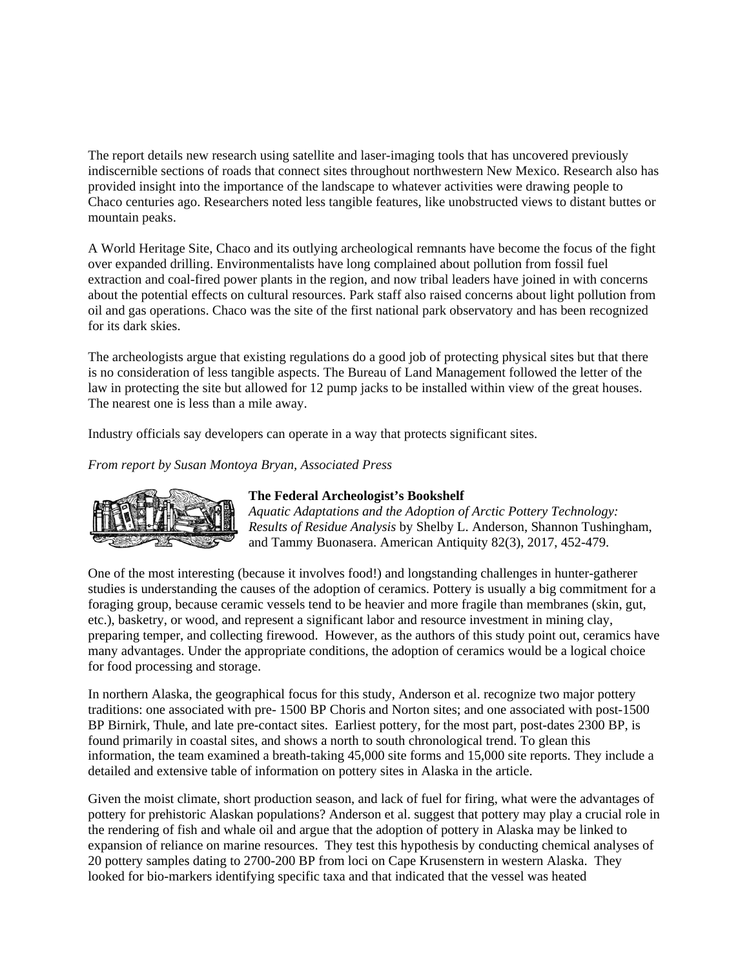The report details new research using satellite and laser-imaging tools that has uncovered previously indiscernible sections of roads that connect sites throughout northwestern New Mexico. Research also has provided insight into the importance of the landscape to whatever activities were drawing people to Chaco centuries ago. Researchers noted less tangible features, like unobstructed views to distant buttes or mountain peaks.

A World Heritage Site, Chaco and its outlying archeological remnants have become the focus of the fight over expanded drilling. Environmentalists have long complained about pollution from fossil fuel extraction and coal-fired power plants in the region, and now tribal leaders have joined in with concerns about the potential effects on cultural resources. Park staff also raised concerns about light pollution from oil and gas operations. Chaco was the site of the first national park observatory and has been recognized for its dark skies.

The archeologists argue that existing regulations do a good job of protecting physical sites but that there is no consideration of less tangible aspects. The Bureau of Land Management followed the letter of the law in protecting the site but allowed for 12 pump jacks to be installed within view of the great houses. The nearest one is less than a mile away.

Industry officials say developers can operate in a way that protects significant sites.

*From report by Susan Montoya Bryan, Associated Press*



# **The Federal Archeologist's Bookshelf**

*Aquatic Adaptations and the Adoption of Arctic Pottery Technology: Results of Residue Analysis* by Shelby L. Anderson, Shannon Tushingham, and Tammy Buonasera. American Antiquity 82(3), 2017, 452-479.

One of the most interesting (because it involves food!) and longstanding challenges in hunter-gatherer studies is understanding the causes of the adoption of ceramics. Pottery is usually a big commitment for a foraging group, because ceramic vessels tend to be heavier and more fragile than membranes (skin, gut, etc.), basketry, or wood, and represent a significant labor and resource investment in mining clay, preparing temper, and collecting firewood. However, as the authors of this study point out, ceramics have many advantages. Under the appropriate conditions, the adoption of ceramics would be a logical choice for food processing and storage.

In northern Alaska, the geographical focus for this study, Anderson et al. recognize two major pottery traditions: one associated with pre- 1500 BP Choris and Norton sites; and one associated with post-1500 BP Birnirk, Thule, and late pre-contact sites. Earliest pottery, for the most part, post-dates 2300 BP, is found primarily in coastal sites, and shows a north to south chronological trend. To glean this information, the team examined a breath-taking 45,000 site forms and 15,000 site reports. They include a detailed and extensive table of information on pottery sites in Alaska in the article.

Given the moist climate, short production season, and lack of fuel for firing, what were the advantages of pottery for prehistoric Alaskan populations? Anderson et al. suggest that pottery may play a crucial role in the rendering of fish and whale oil and argue that the adoption of pottery in Alaska may be linked to expansion of reliance on marine resources. They test this hypothesis by conducting chemical analyses of 20 pottery samples dating to 2700-200 BP from loci on Cape Krusenstern in western Alaska. They looked for bio-markers identifying specific taxa and that indicated that the vessel was heated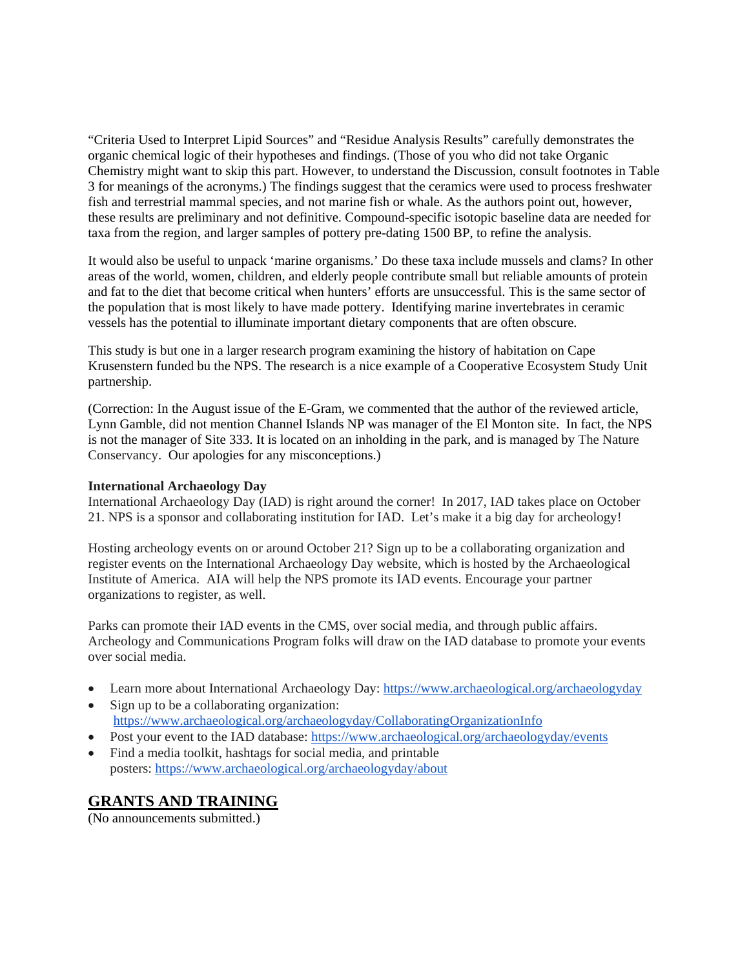"Criteria Used to Interpret Lipid Sources" and "Residue Analysis Results" carefully demonstrates the organic chemical logic of their hypotheses and findings. (Those of you who did not take Organic Chemistry might want to skip this part. However, to understand the Discussion, consult footnotes in Table 3 for meanings of the acronyms.) The findings suggest that the ceramics were used to process freshwater fish and terrestrial mammal species, and not marine fish or whale. As the authors point out, however, these results are preliminary and not definitive. Compound-specific isotopic baseline data are needed for taxa from the region, and larger samples of pottery pre-dating 1500 BP, to refine the analysis.

It would also be useful to unpack 'marine organisms.' Do these taxa include mussels and clams? In other areas of the world, women, children, and elderly people contribute small but reliable amounts of protein and fat to the diet that become critical when hunters' efforts are unsuccessful. This is the same sector of the population that is most likely to have made pottery. Identifying marine invertebrates in ceramic vessels has the potential to illuminate important dietary components that are often obscure.

This study is but one in a larger research program examining the history of habitation on Cape Krusenstern funded bu the NPS. The research is a nice example of a Cooperative Ecosystem Study Unit partnership.

(Correction: In the August issue of the E-Gram, we commented that the author of the reviewed article, Lynn Gamble, did not mention Channel Islands NP was manager of the El Monton site. In fact, the NPS is not the manager of Site 333. It is located on an inholding in the park, and is managed by The Nature Conservancy. Our apologies for any misconceptions.)

## **International Archaeology Day**

International Archaeology Day (IAD) is right around the corner! In 2017, IAD takes place on October 21. NPS is a sponsor and collaborating institution for IAD. Let's make it a big day for archeology!

Hosting archeology events on or around October 21? Sign up to be a collaborating organization and register events on the International Archaeology Day website, which is hosted by the Archaeological Institute of America. AIA will help the NPS promote its IAD events. Encourage your partner organizations to register, as well.

Parks can promote their IAD events in the CMS, over social media, and through public affairs. Archeology and Communications Program folks will draw on the IAD database to promote your events over social media.

- Learn more about International Archaeology Day: <https://www.archaeological.org/archaeologyday> • Sign up to be a collaborating organization:
- <https://www.archaeological.org/archaeologyday/CollaboratingOrganizationInfo>
- Post your event to the IAD database: <https://www.archaeological.org/archaeologyday/events>
- Find a media toolkit, hashtags for social media, and printable posters: <https://www.archaeological.org/archaeologyday/about>

# **GRANTS AND TRAINING**

(No announcements submitted.)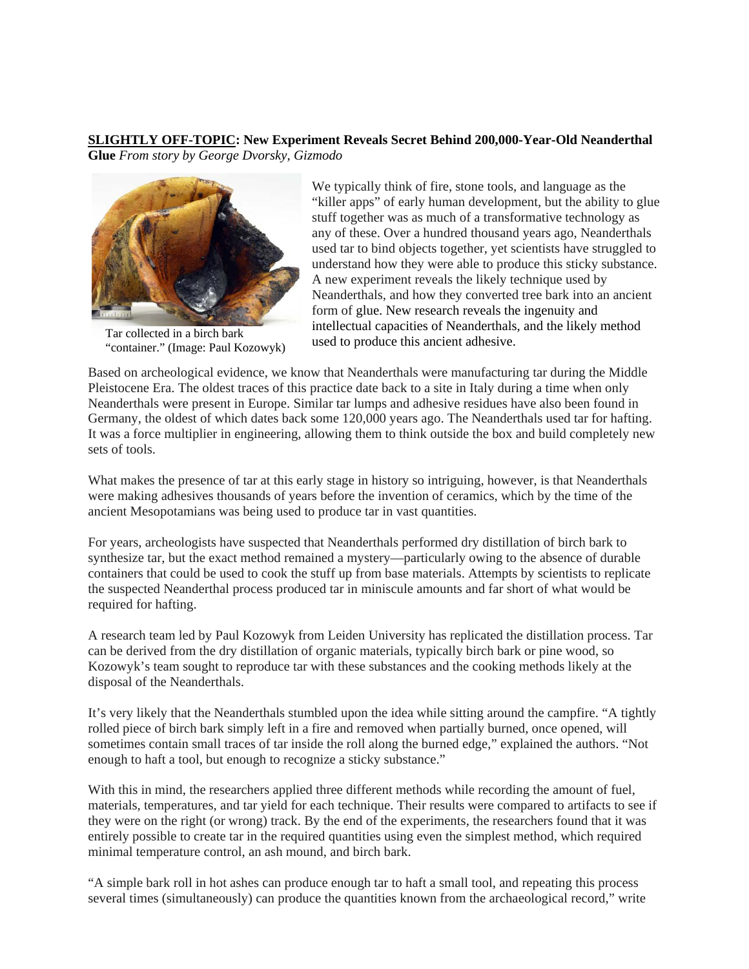#### **SLIGHTLY OFF-TOPIC: [New Experiment Reveals Secret Behind 200,000-Year-Old Neanderthal](http://gizmodo.com/new-experiment-reveals-secret-behind-200-000-year-old-n-1798636925)  [Glue](http://gizmodo.com/new-experiment-reveals-secret-behind-200-000-year-old-n-1798636925)** *From story by George Dvorsky, Gizmodo*



Tar collected in a birch bark "container." (Image: Paul Kozowyk)

We typically think of fire, stone tools, and language as the "killer apps" of early human development, but the ability to glue stuff together was as much of a transformative technology as any of these. Over a hundred thousand years ago, Neanderthals used tar to bind objects together, yet scientists have struggled to understand how they were able to produce this sticky substance. A new experiment reveals the likely technique used by Neanderthals, and how they converted tree bark into an ancient form of glue. New research reveals the ingenuity and intellectual capacities of Neanderthals, and the likely method used to produce this ancient adhesive.

Based on archeological evidence, we know that Neanderthals were manufacturing tar during the Middle Pleistocene Era. The oldest traces of this practice date back to a site in Italy during a time when only Neanderthals were present in Europe. Similar tar lumps and adhesive residues have also been found in Germany, the oldest of which dates back some 120,000 years ago. The Neanderthals used tar for hafting. It was a force multiplier in engineering, allowing them to think outside the box and build completely new sets of tools.

What makes the presence of tar at this early stage in history so intriguing, however, is that Neanderthals were making adhesives thousands of years before the invention of ceramics, which by the time of the ancient Mesopotamians was being used to produce tar in vast quantities.

For years, archeologists have suspected that Neanderthals performed dry distillation of birch bark to synthesize tar, but the exact method remained a mystery—particularly owing to the absence of durable containers that could be used to cook the stuff up from base materials. Attempts by scientists to replicate the suspected Neanderthal process produced tar in miniscule amounts and far short of what would be required for hafting.

A research team led by Paul Kozowyk from Leiden University has replicated the distillation process. Tar can be derived from the dry distillation of organic materials, typically birch bark or pine wood, so Kozowyk's team sought to reproduce tar with these substances and the cooking methods likely at the disposal of the Neanderthals.

It's very likely that the Neanderthals stumbled upon the idea while sitting around the campfire. "A tightly rolled piece of birch bark simply left in a fire and removed when partially burned, once opened, will sometimes contain small traces of tar inside the roll along the burned edge," explained the authors. "Not enough to haft a tool, but enough to recognize a sticky substance."

With this in mind, the researchers applied three different methods while recording the amount of fuel, materials, temperatures, and tar yield for each technique. Their results were compared to artifacts to see if they were on the right (or wrong) track. By the end of the experiments, the researchers found that it was entirely possible to create tar in the required quantities using even the simplest method, which required minimal temperature control, an ash mound, and birch bark.

"A simple bark roll in hot ashes can produce enough tar to haft a small tool, and repeating this process several times (simultaneously) can produce the quantities known from the archaeological record," write